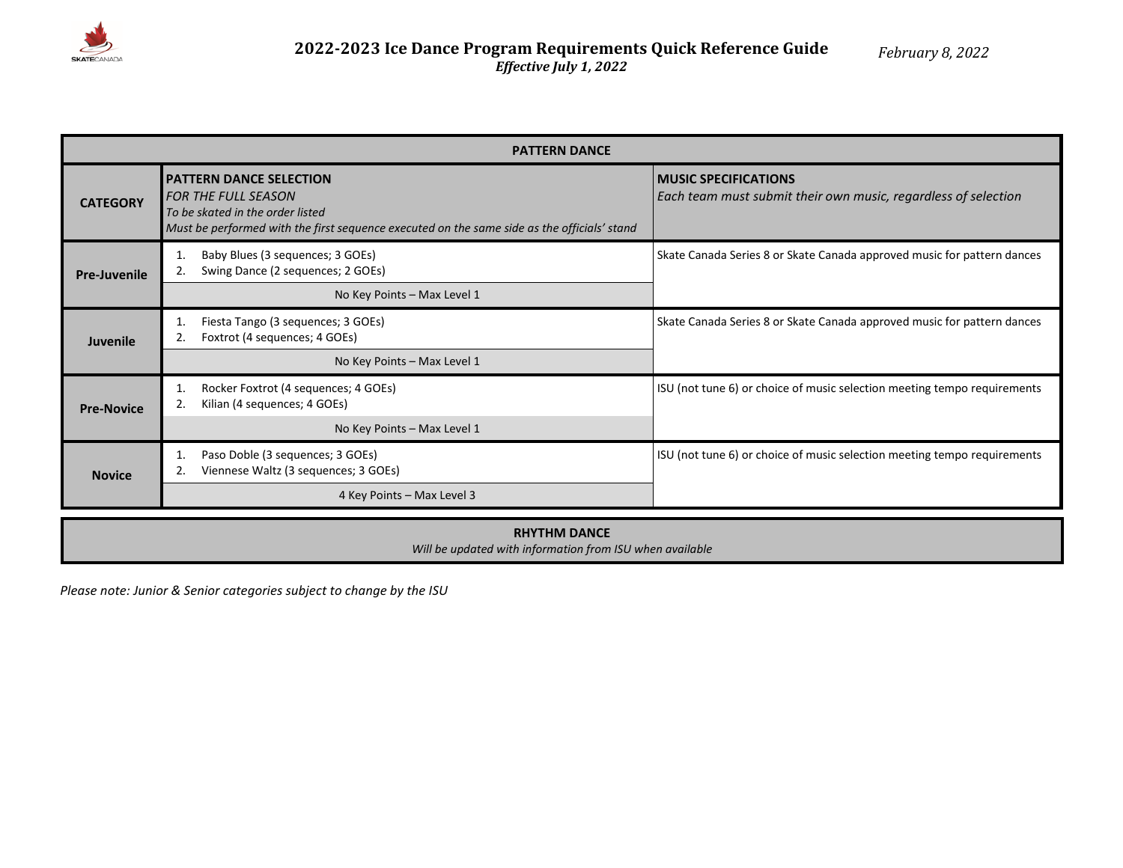

| <b>PATTERN DANCE</b> |                                                                                                                                                                                                 |                                                                                               |  |  |  |  |  |
|----------------------|-------------------------------------------------------------------------------------------------------------------------------------------------------------------------------------------------|-----------------------------------------------------------------------------------------------|--|--|--|--|--|
| <b>CATEGORY</b>      | <b>PATTERN DANCE SELECTION</b><br><b>FOR THE FULL SEASON</b><br>To be skated in the order listed<br>Must be performed with the first sequence executed on the same side as the officials' stand | <b>MUSIC SPECIFICATIONS</b><br>Each team must submit their own music, regardless of selection |  |  |  |  |  |
| <b>Pre-Juvenile</b>  | Baby Blues (3 sequences; 3 GOEs)<br>1.<br>Swing Dance (2 sequences; 2 GOEs)<br>No Key Points - Max Level 1                                                                                      | Skate Canada Series 8 or Skate Canada approved music for pattern dances                       |  |  |  |  |  |
| <b>Juvenile</b>      | Fiesta Tango (3 sequences; 3 GOEs)<br>Foxtrot (4 sequences; 4 GOEs)<br>2.                                                                                                                       | Skate Canada Series 8 or Skate Canada approved music for pattern dances                       |  |  |  |  |  |
| <b>Pre-Novice</b>    | No Key Points - Max Level 1<br>Rocker Foxtrot (4 sequences; 4 GOEs)<br>1.<br>Kilian (4 sequences; 4 GOEs)<br>No Key Points - Max Level 1                                                        | ISU (not tune 6) or choice of music selection meeting tempo requirements                      |  |  |  |  |  |
| <b>Novice</b>        | Paso Doble (3 sequences; 3 GOEs)<br>1.<br>Viennese Waltz (3 sequences; 3 GOEs)<br>4 Key Points - Max Level 3                                                                                    | ISU (not tune 6) or choice of music selection meeting tempo requirements                      |  |  |  |  |  |

## **RHYTHM DANCE** *Will be updated with information from ISU when available*

*Please note: Junior & Senior categories subject to change by the ISU*